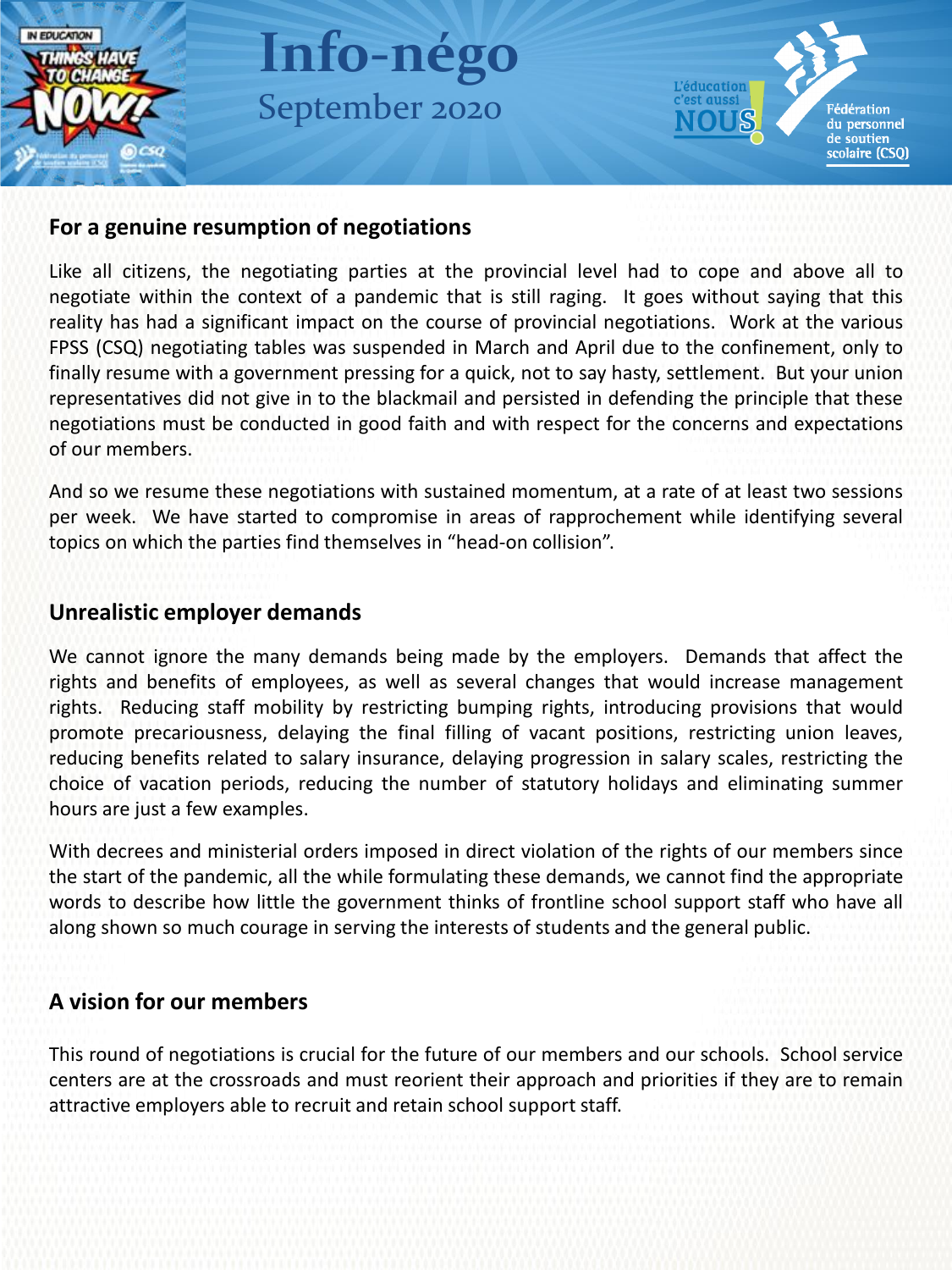

#### **For a genuine resumption of negotiations**

Like all citizens, the negotiating parties at the provincial level had to cope and above all to negotiate within the context of a pandemic that is still raging. It goes without saying that this reality has had a significant impact on the course of provincial negotiations. Work at the various FPSS (CSQ) negotiating tables was suspended in March and April due to the confinement, only to finally resume with a government pressing for a quick, not to say hasty, settlement. But your union representatives did not give in to the blackmail and persisted in defending the principle that these negotiations must be conducted in good faith and with respect for the concerns and expectations of our members.

And so we resume these negotiations with sustained momentum, at a rate of at least two sessions per week. We have started to compromise in areas of rapprochement while identifying several topics on which the parties find themselves in "head-on collision".

### **Unrealistic employer demands**

We cannot ignore the many demands being made by the employers. Demands that affect the rights and benefits of employees, as well as several changes that would increase management rights. Reducing staff mobility by restricting bumping rights, introducing provisions that would promote precariousness, delaying the final filling of vacant positions, restricting union leaves, reducing benefits related to salary insurance, delaying progression in salary scales, restricting the choice of vacation periods, reducing the number of statutory holidays and eliminating summer hours are just a few examples.

With decrees and ministerial orders imposed in direct violation of the rights of our members since the start of the pandemic, all the while formulating these demands, we cannot find the appropriate words to describe how little the government thinks of frontline school support staff who have all along shown so much courage in serving the interests of students and the general public.

## **A vision for our members**

This round of negotiations is crucial for the future of our members and our schools. School service centers are at the crossroads and must reorient their approach and priorities if they are to remain attractive employers able to recruit and retain school support staff.